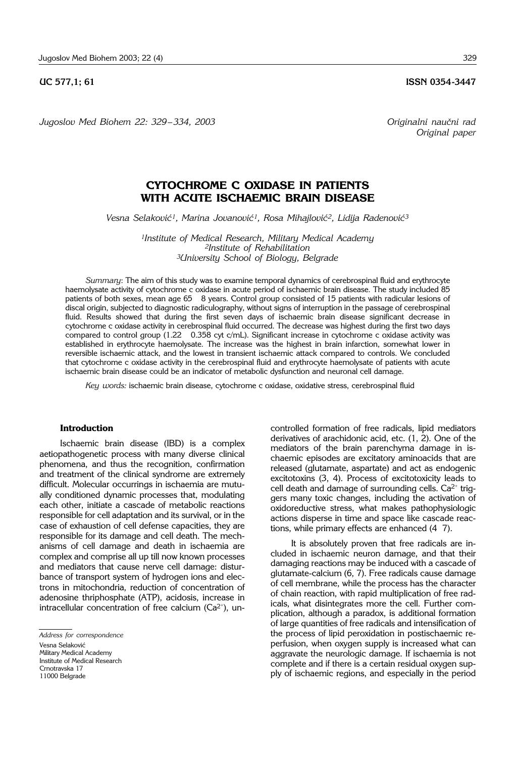*Jugoslov Med Biohem 22: 329*– *334, 2003 Originalni nau~ni rad*

**UC 577,1; 61 ISSN 0354-3447** 

*Original paper*

# **CYTOCHROME C OXIDASE IN PATIENTS WITH ACUTE ISCHAEMIC BRAIN DISEASE**

Vesna Selaković<sup>1</sup>, Marina Jovanović<sup>1</sup>, Rosa Mihajlović<sup>2</sup>, Lidija Radenović<sup>3</sup>

*1Institute of Medical Research, Military Medical Academy 2Institute of Rehabilitation 3University School of Biology, Belgrade*

*Summary*: The aim of this study was to examine temporal dynamics of cerebrospinal fluid and erythrocyte haemolysate activity of cytochrome c oxidase in acute period of ischaemic brain disease. The study included 85 patients of both sexes, mean age 65 " 8 years. Control group consisted of 15 patients with radicular lesions of discal origin, subjected to diagnostic radiculography, without signs of interruption in the passage of cerebrospinal fluid. Results showed that during the first seven days of ischaemic brain disease significant decrease in cytochrome c oxidase activity in cerebrospinal fluid occurred. The decrease was highest during the first two days compared to control group (1.22 0.358 cyt c/mL). Significant increase in cytochrome c oxidase activity was established in erythrocyte haemolysate. The increase was the highest in brain infarction, somewhat lower in reversible ischaemic attack, and the lowest in transient ischaemic attack compared to controls. We concluded that cytochrome c oxidase activity in the cerebrospinal fluid and erythrocyte haemolysate of patients with acute ischaemic brain disease could be an indicator of metabolic dysfunction and neuronal cell damage.

*Key words:* ischaemic brain disease, cytochrome c oxidase, oxidative stress, cerebrospinal fluid

### **Introduction**

Ischaemic brain disease (IBD) is a complex aetiopathogenetic process with many diverse clinical phenomena, and thus the recognition, confirmation and treatment of the clinical syndrome are extremely difficult. Molecular occurrings in ischaemia are mutually conditioned dynamic processes that, modulating each other, initiate a cascade of metabolic reactions responsible for cell adaptation and its survival, or in the case of exhaustion of cell defense capacities, they are responsible for its damage and cell death. The mechanisms of cell damage and death in ischaemia are complex and comprise all up till now known processes and mediators that cause nerve cell damage: disturbance of transport system of hydrogen ions and electrons in mitochondria, reduction of concentration of adenosine thriphosphate (ATP), acidosis, increase in intracellular concentration of free calcium ( $Ca<sup>2+</sup>$ ), uncontrolled formation of free radicals, lipid mediators derivatives of arachidonic acid, etc. (1, 2). One of the mediators of the brain parenchyma damage in ischaemic episodes are excitatory aminoacids that are released (glutamate, aspartate) and act as endogenic excitotoxins (3, 4). Process of excitotoxicity leads to cell death and damage of surrounding cells. Ca<sup>2+</sup> triggers many toxic changes, including the activation of oxidoreductive stress, what makes pathophysiologic actions disperse in time and space like cascade reactions, while primary effects are enhanced (4 7).

It is absolutely proven that free radicals are included in ischaemic neuron damage, and that their damaging reactions may be induced with a cascade of glutamate-calcium (6, 7). Free radicals cause damage of cell membrane, while the process has the character of chain reaction, with rapid multiplication of free radicals, what disintegrates more the cell. Further complication, although a paradox, is additional formation of large quantities of free radicals and intensification of the process of lipid peroxidation in postischaemic reperfusion, when oxygen supply is increased what can aggravate the neurologic damage. If ischaemia is not complete and if there is a certain residual oxygen supply of ischaemic regions, and especially in the period

*Address for correspondence*

Vesna Selaković Military Medical Academy Institute of Medical Research Crnotravska 17 11000 Belgrade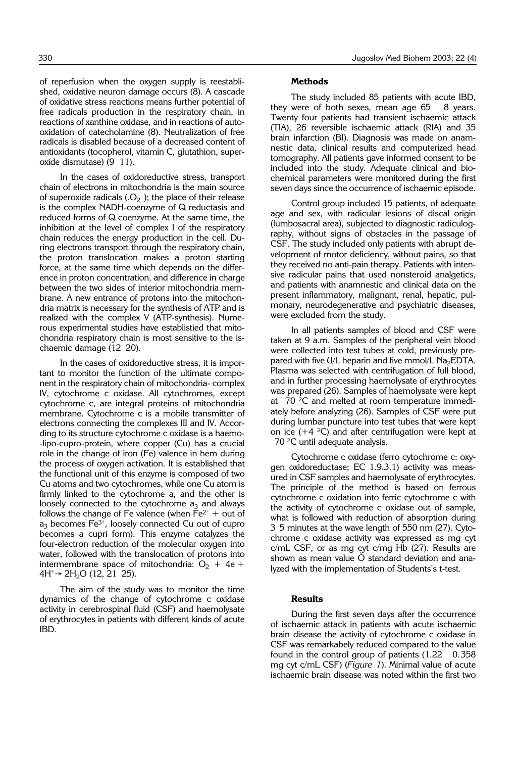of reperfusion when the oxygen supply is reestablished, oxidative neuron damage occurs (8). A cascade of oxidative stress reactions means further potential of free radicals production in the respiratory chain, in reactions of xanthine oxidase, and in reactions of autooxidation of catecholamine (8). Neutralization of free radicals is disabled because of a decreased content of antioxidants (tocopherol, vitamin C, glutathion, superoxide dismutase) (9 11).

In the cases of oxidoreductive stress, transport chain of electrons in mitochondria is the main source of superoxide radicals  $(0, 0)$ ; the place of their release is the complex NADH-coenzyme of Q reductasis and reduced forms of Q coenzyme. At the same time, the inhibition at the level of complex I of the respiratory chain reduces the energy production in the cell. During electrons transport through the respiratory chain, the proton translocation makes a proton starting force, at the same time which depends on the difference in proton concentration, and difference in charge between the two sides of interior mitochondria membrane. A new entrance of protons into the mitochondria matrix is necessary for the synthesis of ATP and is realized with the complex V (ATP-synthesis). Numerous experimental studies have establistied that mitochondria respiratory chain is most sensitive to the ischaemic damage (12 20).

In the cases of oxidoreductive stress, it is important to monitor the function of the ultimate component in the respiratory chain of mitochondria- complex IV, cytochrome c oxidase. All cytochromes, except cytochrome c, are integral proteins of mitochondria membrane. Cytochrome c is a mobile transmitter of electrons connecting the complexes III and IV. According to its structure cytochrome c oxidase is a haemo- -lipo-cupro-protein, where copper (Cu) has a crucial role in the change of iron (Fe) valence in hem during the process of oxygen activation. It is established that the functional unit of this enzyme is composed of two Cu atoms and two cytochromes, while one Cu atom is firmly linked to the cytochrome a, and the other is loosely connected to the cytochrome  $a_3$  and always follows the change of Fe valence (when  $Fe<sup>2+</sup> + out of$  $\mathsf{a}_3$  becomes Fe $^{3+}$ , loosely connected Cu out of cupro becomes a cupri form). This enzyme catalyzes the four-electron reduction of the molecular oxygen into water, followed with the translocation of protons into intermembrane space of mitochondria:  $O_2 + 4e +$  $4H^+$ → 2H<sub>2</sub>O (12, 21 25).

The aim of the study was to monitor the time dynamics of the change of cytochrome c oxidase activity in cerebrospinal fluid (CSF) and haemolysate of erythrocytes in patients with different kinds of acute IBD.

### **Methods**

The study included 85 patients with acute IBD, they were of both sexes, mean age 65 8 years. Twenty four patients had transient ischaemic attack (TIA), 26 reversible ischaemic attack (RIA) and 35 brain infarction (BI). Diagnosis was made on anamnestic data, clinical results and computerized head tomography. All patients gave informed consent to be included into the study. Adequate clinical and biochemical parameters were monitored during the first seven days since the occurrence of ischaemic episode.

Control group included 15 patients, of adequate age and sex, with radicular lesions of discal origin (lumbosacral area), subjected to diagnostic radiculography, without signs of obstacles in the passage of CSF. The study included only patients with abrupt development of motor deficiency, without pains, so that they received no anti-pain therapy. Patients with intensive radicular pains that used nonsteroid analgetics, and patients with anamnestic and clinical data on the present inflammatory, malignant, renal, hepatic, pulmonary, neurodegenerative and psychiatric diseases, were excluded from the study.

In all patients samples of blood and CSF were taken at 9 a.m. Samples of the peripheral vein blood were collected into test tubes at cold, previously prepared with five  $U/L$  heparin and five mmol/L Na<sub>2</sub>EDTA. Plasma was selected with centrifugation of full blood, and in further processing haemolysate of erythrocytes was prepared (26). Samples of haemolysate were kept at  $70 \, \text{°C}$  and melted at room temperature immediately before analyzing (26). Samples of CSF were put during lumbar puncture into test tubes that were kept on ice  $(+4 \text{ } ^{2}C)$  and after centrifugation were kept at 70 °C until adequate analysis.

Cytochrome c oxidase (ferro cytochrome c: oxygen oxidoreductase; EC 1.9.3.1) activity was measured in CSF samples and haemolysate of erythrocytes. The principle of the method is based on ferrous cytochrome c oxidation into ferric cytochrome c with the activity of cytochrome c oxidase out of sample, what is followed with reduction of absorption during 3'5 minutes at the wave length of 550 nm (27). Cytochrome c oxidase activity was expressed as mg cyt c/mL CSF, or as mg cyt c/mg Hb (27). Results are shown as mean value  $\dot{O}$  standard deviation and analyzed with the implementation of Students's t-test.

#### **Results**

During the first seven days after the occurrence of ischaemic attack in patients with acute ischaemic brain disease the activity of cytochrome c oxidase in CSF was remarkabely reduced compared to the value found in the control group of patients  $(1.22 \quad 0.358)$ mg cyt c/mL CSF) (*Figure 1*). Minimal value of acute ischaemic brain disease was noted within the first two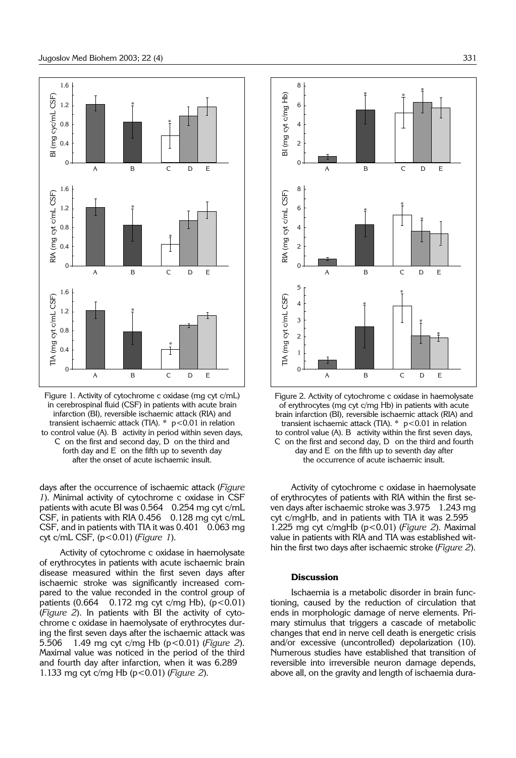

Figure 1. Activity of cytochrome c oxidase (mg cyt c/mL) in cerebrospinal fluid (CSF) in patients with acute brain infarction (BI), reversible ischaemic attack (RIA) and transient ischaemic attack (TIA).  $*$  p<0.01 in relation to control value (A). B activity in period within seven days, C' on the first and second day, D' on the third and forth day and  $E$  on the fifth up to seventh day after the onset of acute ischaemic insult.

days after the occurrence of ischaemic attack (*Figure 1*). Minimal activity of cytochrome c oxidase in CSF patients with acute BI was 0.564 0.254 mg cyt c/mL CSF, in patients with RIA  $0.456$   $0.128$  mg cyt c/mL CSF, and in patients with TIA it was 0.401 " 0.063 mg cyt c/mL CSF, (p<0.01) (*Figure 1*).

Activity of cytochrome c oxidase in haemolysate of erythrocytes in patients with acute ischaemic brain disease measured within the first seven days after ischaemic stroke was significantly increased compared to the value reconded in the control group of patients  $(0.664 \ 0.172 \text{ mg} \text{ cyt c/mg Hb})$ ,  $(p<0.01)$ (*Figure 2*). In patients with BI the activity of cytochrome c oxidase in haemolysate of erythrocytes during the first seven days after the ischaemic attack was 5.506 " 1.49 mg cyt c/mg Hb (p<0.01) (*Figure 2*). Maximal value was noticed in the period of the third and fourth day after infarction, when it was 6.289 1.133 mg cyt c/mg Hb (p<0.01) (*Figure 2*).





Activity of cytochrome c oxidase in haemolysate of erythrocytes of patients with RIA within the first seven days after ischaemic stroke was 3.975 " 1.243 mg cyt c/mgHb, and in patients with TIA it was 2.595 1.225 mg cyt c/mgHb (p<0.01) (*Figure 2*). Maximal value in patients with RIA and TIA was established within the first two days after ischaemic stroke (*Figure 2*).

#### **Discussion**

Ischaemia is a metabolic disorder in brain functioning, caused by the reduction of circulation that ends in morphologic damage of nerve elements. Primary stimulus that triggers a cascade of metabolic changes that end in nerve cell death is energetic crisis and/or excessive (uncontrolled) depolarization (10). Numerous studies have established that transition of reversible into irreversible neuron damage depends, above all, on the gravity and length of ischaemia dura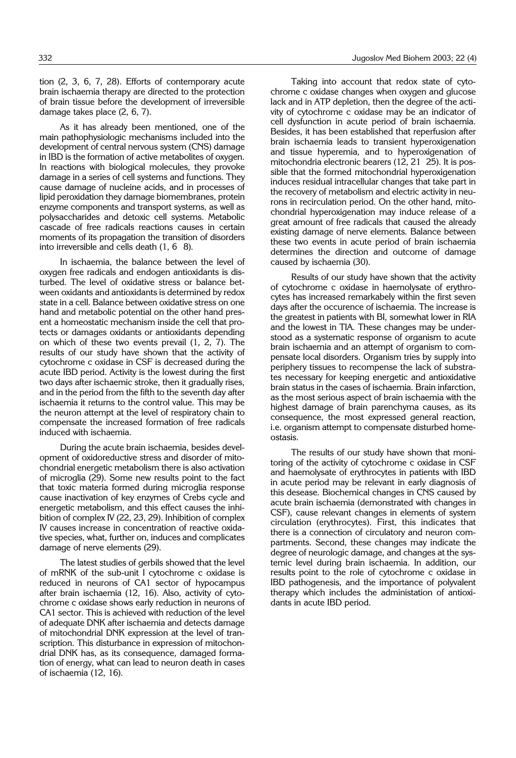tion (2, 3, 6, 7, 28). Efforts of contemporary acute brain ischaemia therapy are directed to the protection of brain tissue before the development of irreversible damage takes place (2, 6, 7).

As it has already been mentioned, one of the main pathophysiologic mechanisms included into the development of central nervous system (CNS) damage in IBD is the formation of active metabolites of oxygen. In reactions with biological molecules, they provoke damage in a series of cell systems and functions. They cause damage of nucleine acids, and in processes of lipid peroxidation they damage biomembranes, protein enzyme components and transport systems, as well as polysaccharides and detoxic cell systems. Metabolic cascade of free radicals reactions causes in certain moments of its propagation the transition of disorders into irreversible and cells death  $(1, 6, 8)$ .

In ischaemia, the balance between the level of oxygen free radicals and endogen antioxidants is disturbed. The level of oxidative stress or balance between oxidants and antioxidants is determined by redox state in a cell. Balance between oxidative stress on one hand and metabolic potential on the other hand present a homeostatic mechanism inside the cell that protects or damages oxidants or antioxidants depending on which of these two events prevail (1, 2, 7). The results of our study have shown that the activity of cytochrome c oxidase in CSF is decreased during the acute IBD period. Activity is the lowest during the first two days after ischaemic stroke, then it gradually rises, and in the period from the fifth to the seventh day after ischaemia it returns to the control value. This may be the neuron attempt at the level of respiratory chain to compensate the increased formation of free radicals induced with ischaemia.

During the acute brain ischaemia, besides development of oxidoreductive stress and disorder of mitochondrial energetic metabolism there is also activation of microglia (29). Some new results point to the fact that toxic materia formed during microglia response cause inactivation of key enzymes of Crebs cycle and energetic metabolism, and this effect causes the inhibition of complex IV (22, 23, 29). Inhibition of complex IV causes increase in concentration of reactive oxidative species, what, further on, induces and complicates damage of nerve elements (29).

The latest studies of gerbils showed that the level of mRNK of the sub-unit I cytochrome c oxidase is reduced in neurons of CA1 sector of hypocampus after brain ischaemia (12, 16). Also, activity of cytochrome c oxidase shows early reduction in neurons of CA1 sector. This is achieved with reduction of the level of adequate DNK after ischaemia and detects damage of mitochondrial DNK expression at the level of transcription. This disturbance in expression of mitochondrial DNK has, as its consequence, damaged formation of energy, what can lead to neuron death in cases of ischaemia (12, 16).

Taking into account that redox state of cytochrome c oxidase changes when oxygen and glucose lack and in ATP depletion, then the degree of the activity of cytochrome c oxidase may be an indicator of cell dysfunction in acute period of brain ischaemia. Besides, it has been established that reperfusion after brain ischaemia leads to transient hyperoxigenation and tissue hyperemia, and to hyperoxigenation of mitochondria electronic bearers (12, 21 25). It is possible that the formed mitochondrial hyperoxigenation induces residual intracellular changes that take part in the recovery of metabolism and electric activity in neurons in recirculation period. On the other hand, mitochondrial hyperoxigenation may induce release of a great amount of free radicals that caused the already existing damage of nerve elements. Balance between these two events in acute period of brain ischaemia determines the direction and outcome of damage caused by ischaemia (30).

Results of our study have shown that the activity of cytochrome c oxidase in haemolysate of erythrocytes has increased remarkabely within the first seven days after the occurence of ischaemia. The increase is the greatest in patients with BI, somewhat lower in RIA and the lowest in TIA. These changes may be understood as a systematic response of organism to acute brain ischaemia and an attempt of organism to compensate local disorders. Organism tries by supply into periphery tissues to recompense the lack of substrates necessary for keeping energetic and antioxidative brain status in the cases of ischaemia. Brain infarction, as the most serious aspect of brain ischaemia with the highest damage of brain parenchyma causes, as its consequence, the most expressed general reaction, i.e. organism attempt to compensate disturbed homeostasis.

The results of our study have shown that monitoring of the activity of cytochrome c oxidase in CSF and haemolysate of erythrocytes in patients with IBD in acute period may be relevant in early diagnosis of this desease. Biochemical changes in CNS caused by acute brain ischaemia (demonstrated with changes in CSF), cause relevant changes in elements of system circulation (erythrocytes). First, this indicates that there is a connection of circulatory and neuron compartments. Second, these changes may indicate the degree of neurologic damage, and changes at the systemic level during brain ischaemia. In addition, our results point to the role of cytochrome c oxidase in IBD pathogenesis, and the importance of polyvalent therapy which includes the administation of antioxidants in acute IBD period.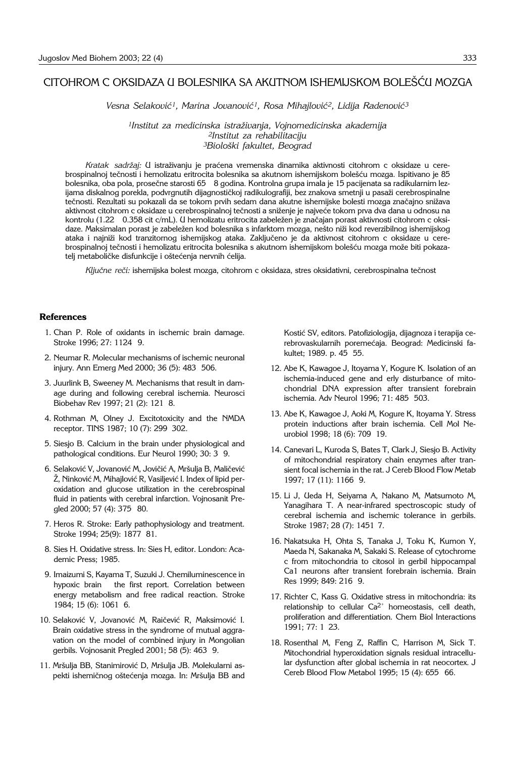## CITOHROM C OKSIDAZA U BOLESNIKA SA AKUTNOM ISHEMIJSKOM BOLEŠĆU MOZGA

Vesna Selaković<sup>1</sup>, Marina Jovanović<sup>1</sup>, Rosa Mihajlović<sup>2</sup>, Lidija Radenović<sup>3</sup>

*1Institut za medicinska istra`ivanja, Vojnomedicinska akademija 2Institut za rehabilitaciju 3Biolo{ki fakultet, Beograd* 

Kratak sadržaj: U istraživanju je praćena vremenska dinamika aktivnosti citohrom c oksidaze u cerebrospinalnoj tečnosti i hemolizatu eritrocita bolesnika sa akutnom ishemijskom bolešću mozga. Ispitivano je 85 bolesnika, oba pola, prosečne starosti 65 8 godina. Kontrolna grupa imala je 15 pacijenata sa radikularnim lezijama diskalnog porekla, podvrgnutih dijagnostičkoj radikulografiji, bez znakova smetnji u pasaži cerebrospinalne tečnosti. Rezultati su pokazali da se tokom prvih sedam dana akutne ishemijske bolesti mozga značajno snižava aktivnost citohrom c oksidaze u cerebrospinalnoj tečnosti a sniženje je najveće tokom prva dva dana u odnosu na kontrolu (1.22 0.358 cit c/mL). U hemolizatu eritrocita zabeležen je značajan porast aktivnosti citohrom c oksidaze. Maksimalan porast je zabeležen kod bolesnika s infarktom mozga, nešto niži kod reverzibilnog ishemijskog ataka i najniži kod tranzitornog ishemijskog ataka. Zaključeno je da aktivnost citohrom c oksidaze u cerebrospinalnoj tečnosti i hemolizatu eritrocita bolesnika s akutnom ishemijskom bolešću mozga može biti pokazatelj metaboličke disfunkcije i oštećenja nervnih ćelija.

Ključne reči: ishemijska bolest mozga, citohrom c oksidaza, stres oksidativni, cerebrospinalna tečnost

#### **References**

- 1. Chan P. Role of oxidants in ischemic brain damage. Stroke 1996; 27: 1124 9.
- 2. Neumar R. Molecular mechanisms of ischemic neuronal injury. Ann Emerg Med 2000; 36 (5): 483 506.
- 3. Juurlink B, Sweeney M. Mechanisms that result in damage during and following cerebral ischemia. Neurosci Biobehav Rev 1997; 21 (2): 121 8.
- 4. Rothman M, Olney J. Excitotoxicity and the NMDA receptor. TINS 1987; 10 (7): 299 302.
- 5. Siesjo B. Calcium in the brain under physiological and pathological conditions. Eur Neurol 1990; 30: 3 9.
- 6. Selaković V, Jovanović M, Jovičić A, Mršulja B, Maličević Ž, Ninković M, Mihajlović R, Vasiljević I. Index of lipid peroxidation and glucose utilization in the cerebrospinal fluid in patients with cerebral infarction. Vojnosanit Pregled 2000; 57 (4): 375 80.
- 7. Heros R. Stroke: Early pathophysiology and treatment. Stroke 1994; 25(9): 1877 81.
- 8. Sies H. Oxidative stress. In: Sies H, editor. London: Academic Press; 1985.
- 9. Imaizumi S, Kayama T, Suzuki J. Chemiluminescence in hypoxic brain the first report. Correlation between energy metabolism and free radical reaction. Stroke 1984; 15 (6): 1061 6.
- 10. Selaković V, Jovanović M, Raičević R, Maksimović I. Brain oxidative stress in the syndrome of mutual aggravation on the model of combined injury in Mongolian gerbils. Vojnosanit Pregled 2001; 58 (5): 463'9.
- 11. Mršulja BB, Stanimirović D, Mršulja JB. Molekularni aspekti ishemičnog oštećenja mozga. In: Mršulja BB and

Kostić SV, editors. Patofiziologija, dijagnoza i terapija cerebrovaskularnih poremećaja. Beograd: Medicinski fakultet; 1989. p. 45 55.

- 12. Abe K, Kawagoe J, Itoyama Y, Kogure K. Isolation of an ischemia-induced gene and erly disturbance of mitochondrial DNA expression after transient forebrain ischemia. Adv Neurol 1996; 71: 485 503.
- 13. Abe K, Kawagoe J, Aoki M, Kogure K, Itoyama Y. Stress protein inductions after brain ischemia. Cell Mol Neurobiol 1998; 18 (6): 709 19.
- 14. Canevari L, Kuroda S, Bates T, Clark J, Siesjo B. Activity of mitochondrial respiratory chain enzymes after transient focal ischemia in the rat. J Cereb Blood Flow Metab 1997; 17 (11): 1166'9.
- 15. Li J, Ueda H, Seiyama A, Nakano M, Matsumoto M, Yanagihara T. A near-infrared spectroscopic study of cerebral ischemia and ischemic tolerance in gerbils. Stroke 1987; 28 (7): 1451 7.
- 16. Nakatsuka H, Ohta S, Tanaka J, Toku K, Kumon Y, Maeda N, Sakanaka M, Sakaki S. Release of cytochrome c from mitochondria to citosol in gerbil hippocampal Ca1 neurons after transient forebrain ischemia. Brain Res 1999; 849: 216 9.
- 17. Richter C, Kass G. Oxidative stress in mitochondria: its relationship to cellular  $Ca^{2+}$  homeostasis, cell death, proliferation and differentiation. Chem Biol Interactions 1991: 77: 1 23.
- 18. Rosenthal M, Feng Z, Raffin C, Harrison M, Sick T. Mitochondrial hyperoxidation signals residual intracellular dysfunction after global ischemia in rat neocortex. J Cereb Blood Flow Metabol 1995; 15 (4): 655 66.